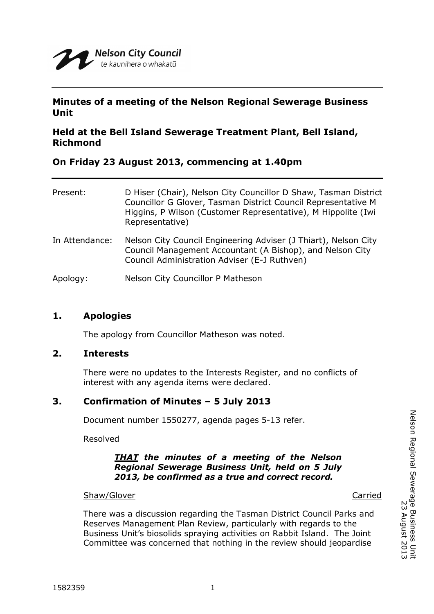

# **Minutes of a meeting of the Nelson Regional Sewerage Business Unit**

# **Held at the Bell Island Sewerage Treatment Plant, Bell Island, Richmond**

## **On Friday 23 August 2013, commencing at 1.40pm**

| Present:       | D Hiser (Chair), Nelson City Councillor D Shaw, Tasman District<br>Councillor G Glover, Tasman District Council Representative M<br>Higgins, P Wilson (Customer Representative), M Hippolite (Iwi)<br>Representative) |
|----------------|-----------------------------------------------------------------------------------------------------------------------------------------------------------------------------------------------------------------------|
| In Attendance: | Nelson City Council Engineering Adviser (J Thiart), Nelson City<br>Council Management Accountant (A Bishop), and Nelson City<br>Council Administration Adviser (E-J Ruthven)                                          |
| Apology:       | Nelson City Councillor P Matheson                                                                                                                                                                                     |

## **1. Apologies**

The apology from Councillor Matheson was noted.

## **2. Interests**

There were no updates to the Interests Register, and no conflicts of interest with any agenda items were declared.

## **3. Confirmation of Minutes – 5 July 2013**

Document number 1550277, agenda pages 5-13 refer.

Resolved

#### *THAT the minutes of a meeting of the Nelson Regional Sewerage Business Unit, held on 5 July 2013, be confirmed as a true and correct record.*

Shaw/Glover **Carried** Carried Carried Carried Carried Carried Carried Carried Carried Carried Carried Carried Carried Carried Carried Carried Carried Carried Carried Carried Carried Carried Carried Carried Carried Carried

There was a discussion regarding the Tasman District Council Parks and Reserves Management Plan Review, particularly with regards to the Business Unit's biosolids spraying activities on Rabbit Island. The Joint Committee was concerned that nothing in the review should jeopardise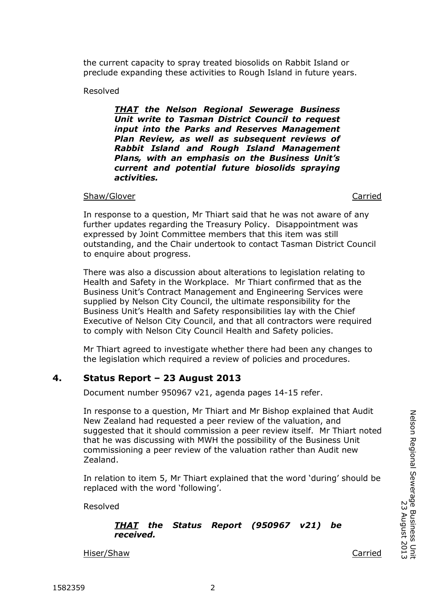the current capacity to spray treated biosolids on Rabbit Island or preclude expanding these activities to Rough Island in future years.

Resolved

*THAT the Nelson Regional Sewerage Business Unit write to Tasman District Council to request input into the Parks and Reserves Management Plan Review, as well as subsequent reviews of Rabbit Island and Rough Island Management Plans, with an emphasis on the Business Unit's current and potential future biosolids spraying activities.*

#### Shaw/Glover Carried

In response to a question, Mr Thiart said that he was not aware of any further updates regarding the Treasury Policy. Disappointment was expressed by Joint Committee members that this item was still outstanding, and the Chair undertook to contact Tasman District Council to enquire about progress.

There was also a discussion about alterations to legislation relating to Health and Safety in the Workplace. Mr Thiart confirmed that as the Business Unit's Contract Management and Engineering Services were supplied by Nelson City Council, the ultimate responsibility for the Business Unit's Health and Safety responsibilities lay with the Chief Executive of Nelson City Council, and that all contractors were required to comply with Nelson City Council Health and Safety policies.

Mr Thiart agreed to investigate whether there had been any changes to the legislation which required a review of policies and procedures.

## **4. Status Report – 23 August 2013**

Document number 950967 v21, agenda pages 14-15 refer.

In response to a question, Mr Thiart and Mr Bishop explained that Audit New Zealand had requested a peer review of the valuation, and suggested that it should commission a peer review itself. Mr Thiart noted that he was discussing with MWH the possibility of the Business Unit commissioning a peer review of the valuation rather than Audit new Zealand.

In relation to item 5, Mr Thiart explained that the word 'during' should be replaced with the word 'following'.

Resolved

#### *THAT the Status Report (950967 v21) be received.*

Hiser/Shaw Carried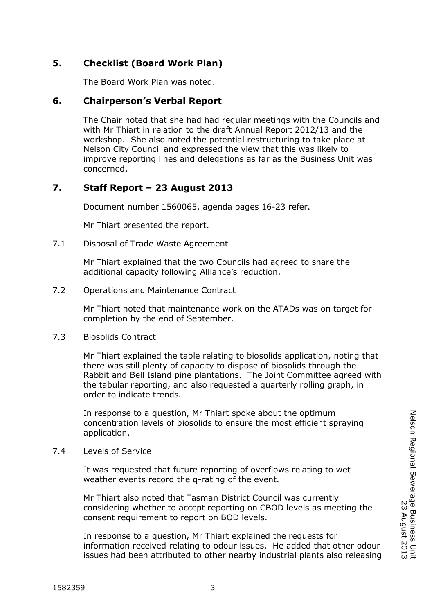# **5. Checklist (Board Work Plan)**

The Board Work Plan was noted.

# **6. Chairperson's Verbal Report**

The Chair noted that she had had regular meetings with the Councils and with Mr Thiart in relation to the draft Annual Report 2012/13 and the workshop. She also noted the potential restructuring to take place at Nelson City Council and expressed the view that this was likely to improve reporting lines and delegations as far as the Business Unit was concerned.

# **7. Staff Report – 23 August 2013**

Document number 1560065, agenda pages 16-23 refer.

Mr Thiart presented the report.

7.1 Disposal of Trade Waste Agreement

Mr Thiart explained that the two Councils had agreed to share the additional capacity following Alliance's reduction.

7.2 Operations and Maintenance Contract

Mr Thiart noted that maintenance work on the ATADs was on target for completion by the end of September.

7.3 Biosolids Contract

Mr Thiart explained the table relating to biosolids application, noting that there was still plenty of capacity to dispose of biosolids through the Rabbit and Bell Island pine plantations. The Joint Committee agreed with the tabular reporting, and also requested a quarterly rolling graph, in order to indicate trends.

In response to a question, Mr Thiart spoke about the optimum concentration levels of biosolids to ensure the most efficient spraying application.

7.4 Levels of Service

It was requested that future reporting of overflows relating to wet weather events record the q-rating of the event.

Mr Thiart also noted that Tasman District Council was currently considering whether to accept reporting on CBOD levels as meeting the consent requirement to report on BOD levels.

In response to a question, Mr Thiart explained the requests for information received relating to odour issues. He added that other odour issues had been attributed to other nearby industrial plants also releasing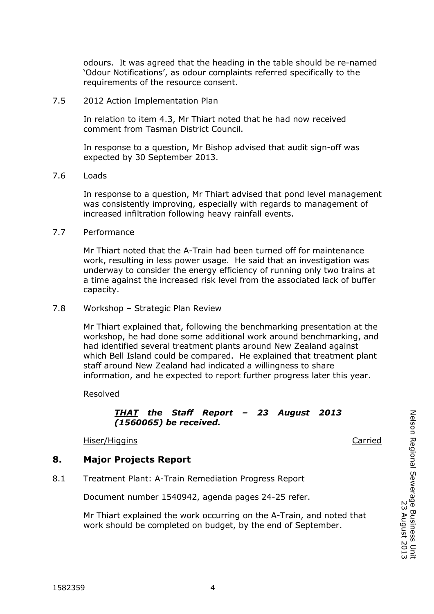odours. It was agreed that the heading in the table should be re-named 'Odour Notifications', as odour complaints referred specifically to the requirements of the resource consent.

#### 7.5 2012 Action Implementation Plan

In relation to item 4.3, Mr Thiart noted that he had now received comment from Tasman District Council.

In response to a question, Mr Bishop advised that audit sign-off was expected by 30 September 2013.

#### 7.6 Loads

In response to a question, Mr Thiart advised that pond level management was consistently improving, especially with regards to management of increased infiltration following heavy rainfall events.

#### 7.7 Performance

Mr Thiart noted that the A-Train had been turned off for maintenance work, resulting in less power usage. He said that an investigation was underway to consider the energy efficiency of running only two trains at a time against the increased risk level from the associated lack of buffer capacity.

#### 7.8 Workshop – Strategic Plan Review

Mr Thiart explained that, following the benchmarking presentation at the workshop, he had done some additional work around benchmarking, and had identified several treatment plants around New Zealand against which Bell Island could be compared. He explained that treatment plant staff around New Zealand had indicated a willingness to share information, and he expected to report further progress later this year.

Resolved

## *THAT the Staff Report – 23 August 2013 (1560065) be received.*

Hiser/Higgins Carried

## **8. Major Projects Report**

8.1 Treatment Plant: A-Train Remediation Progress Report

Document number 1540942, agenda pages 24-25 refer.

Mr Thiart explained the work occurring on the A-Train, and noted that work should be completed on budget, by the end of September.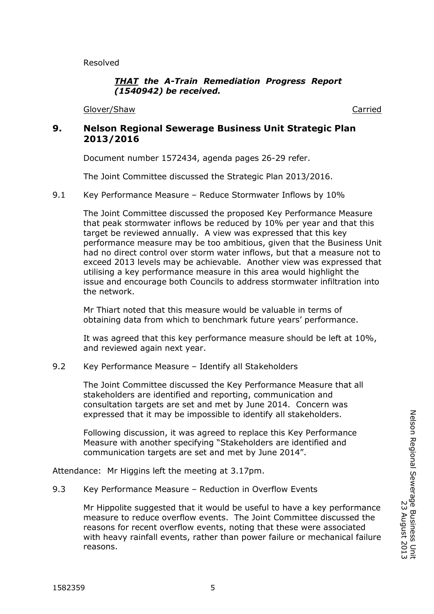Resolved

## *THAT the A-Train Remediation Progress Report (1540942) be received.*

Glover/Shaw Carried

# **9. Nelson Regional Sewerage Business Unit Strategic Plan 2013/2016**

Document number 1572434, agenda pages 26-29 refer.

The Joint Committee discussed the Strategic Plan 2013/2016.

## 9.1 Key Performance Measure – Reduce Stormwater Inflows by 10%

The Joint Committee discussed the proposed Key Performance Measure that peak stormwater inflows be reduced by 10% per year and that this target be reviewed annually. A view was expressed that this key performance measure may be too ambitious, given that the Business Unit had no direct control over storm water inflows, but that a measure not to exceed 2013 levels may be achievable. Another view was expressed that utilising a key performance measure in this area would highlight the issue and encourage both Councils to address stormwater infiltration into the network.

Mr Thiart noted that this measure would be valuable in terms of obtaining data from which to benchmark future years' performance.

It was agreed that this key performance measure should be left at 10%, and reviewed again next year.

## 9.2 Key Performance Measure – Identify all Stakeholders

The Joint Committee discussed the Key Performance Measure that all stakeholders are identified and reporting, communication and consultation targets are set and met by June 2014. Concern was expressed that it may be impossible to identify all stakeholders.

Following discussion, it was agreed to replace this Key Performance Measure with another specifying "Stakeholders are identified and communication targets are set and met by June 2014".

Attendance: Mr Higgins left the meeting at 3.17pm.

## 9.3 Key Performance Measure – Reduction in Overflow Events

Mr Hippolite suggested that it would be useful to have a key performance measure to reduce overflow events. The Joint Committee discussed the reasons for recent overflow events, noting that these were associated with heavy rainfall events, rather than power failure or mechanical failure reasons.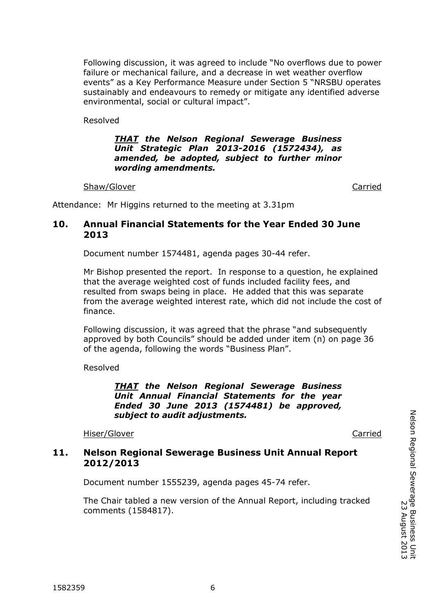Following discussion, it was agreed to include "No overflows due to power failure or mechanical failure, and a decrease in wet weather overflow events" as a Key Performance Measure under Section 5 "NRSBU operates sustainably and endeavours to remedy or mitigate any identified adverse environmental, social or cultural impact".

Resolved

#### *THAT the Nelson Regional Sewerage Business Unit Strategic Plan 2013-2016 (1572434), as amended, be adopted, subject to further minor wording amendments.*

#### Shaw/Glover **Carried** Carried Carried Carried Carried Carried Carried Carried Carried Carried Carried Carried Carried Carried Carried Carried Carried Carried Carried Carried Carried Carried Carried Carried Carried Carried

Attendance: Mr Higgins returned to the meeting at 3.31pm

# **10. Annual Financial Statements for the Year Ended 30 June 2013**

Document number 1574481, agenda pages 30-44 refer.

Mr Bishop presented the report. In response to a question, he explained that the average weighted cost of funds included facility fees, and resulted from swaps being in place. He added that this was separate from the average weighted interest rate, which did not include the cost of finance.

Following discussion, it was agreed that the phrase "and subsequently approved by both Councils" should be added under item (n) on page 36 of the agenda, following the words "Business Plan".

Resolved

*THAT the Nelson Regional Sewerage Business Unit Annual Financial Statements for the year Ended 30 June 2013 (1574481) be approved, subject to audit adjustments.*

Hiser/Glover **Carried Carried** 

# **11. Nelson Regional Sewerage Business Unit Annual Report 2012/2013**

Document number 1555239, agenda pages 45-74 refer.

The Chair tabled a new version of the Annual Report, including tracked comments (1584817).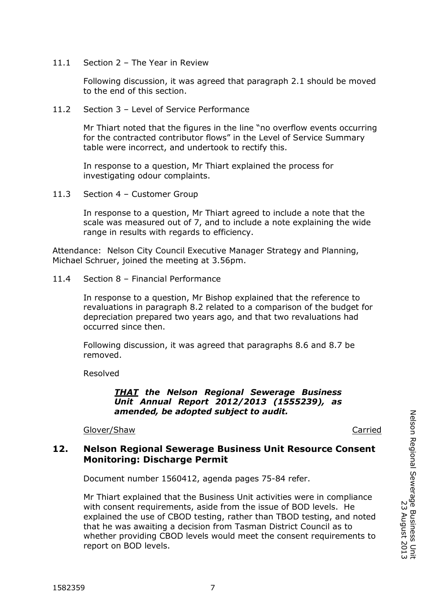11.1 Section 2 – The Year in Review

Following discussion, it was agreed that paragraph 2.1 should be moved to the end of this section.

11.2 Section 3 – Level of Service Performance

Mr Thiart noted that the figures in the line "no overflow events occurring for the contracted contributor flows" in the Level of Service Summary table were incorrect, and undertook to rectify this.

In response to a question, Mr Thiart explained the process for investigating odour complaints.

11.3 Section 4 – Customer Group

In response to a question, Mr Thiart agreed to include a note that the scale was measured out of 7, and to include a note explaining the wide range in results with regards to efficiency.

Attendance: Nelson City Council Executive Manager Strategy and Planning, Michael Schruer, joined the meeting at 3.56pm.

11.4 Section 8 – Financial Performance

In response to a question, Mr Bishop explained that the reference to revaluations in paragraph 8.2 related to a comparison of the budget for depreciation prepared two years ago, and that two revaluations had occurred since then.

Following discussion, it was agreed that paragraphs 8.6 and 8.7 be removed.

Resolved

*THAT the Nelson Regional Sewerage Business Unit Annual Report 2012/2013 (1555239), as amended, be adopted subject to audit.*

Glover/Shaw Carried

## **12. Nelson Regional Sewerage Business Unit Resource Consent Monitoring: Discharge Permit**

Document number 1560412, agenda pages 75-84 refer.

Mr Thiart explained that the Business Unit activities were in compliance with consent requirements, aside from the issue of BOD levels. He explained the use of CBOD testing, rather than TBOD testing, and noted that he was awaiting a decision from Tasman District Council as to whether providing CBOD levels would meet the consent requirements to report on BOD levels.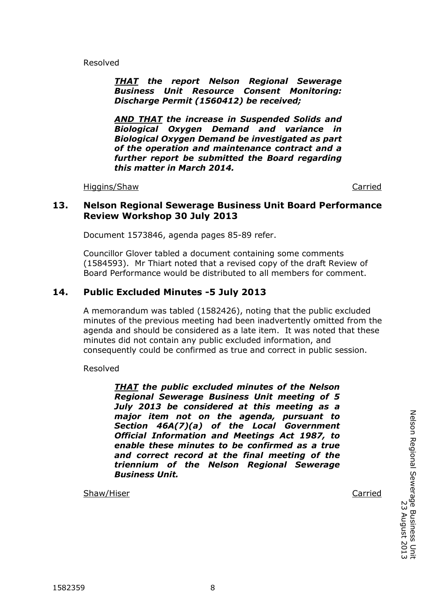Resolved

*THAT the report Nelson Regional Sewerage Business Unit Resource Consent Monitoring: Discharge Permit (1560412) be received;*

*AND THAT the increase in Suspended Solids and Biological Oxygen Demand and variance in Biological Oxygen Demand be investigated as part of the operation and maintenance contract and a further report be submitted the Board regarding this matter in March 2014.*

Higgins/Shaw Carried

## **13. Nelson Regional Sewerage Business Unit Board Performance Review Workshop 30 July 2013**

Document 1573846, agenda pages 85-89 refer.

Councillor Glover tabled a document containing some comments (1584593). Mr Thiart noted that a revised copy of the draft Review of Board Performance would be distributed to all members for comment.

# **14. Public Excluded Minutes -5 July 2013**

A memorandum was tabled (1582426), noting that the public excluded minutes of the previous meeting had been inadvertently omitted from the agenda and should be considered as a late item. It was noted that these minutes did not contain any public excluded information, and consequently could be confirmed as true and correct in public session.

Resolved

*THAT the public excluded minutes of the Nelson Regional Sewerage Business Unit meeting of 5 July 2013 be considered at this meeting as a major item not on the agenda, pursuant to Section 46A(7)(a) of the Local Government Official Information and Meetings Act 1987, to enable these minutes to be confirmed as a true and correct record at the final meeting of the triennium of the Nelson Regional Sewerage Business Unit.*

Shaw/Hiser Carried Carried Communication of the Carried Carried Carried Carried Carried Carried Carried Carried